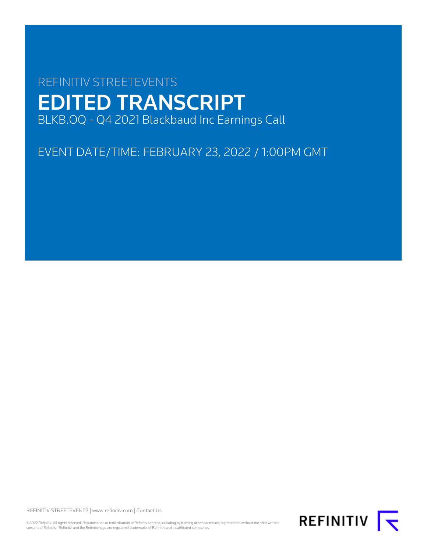# REFINITIV STREETEVENTS EDITED TRANSCRIPT BLKB.OQ - Q4 2021 Blackbaud Inc Earnings Call

EVENT DATE/TIME: FEBRUARY 23, 2022 / 1:00PM GMT

REFINITIV STREETEVENTS | [www.refinitiv.com](https://www.refinitiv.com/) | [Contact Us](https://www.refinitiv.com/en/contact-us)

©2022 Refinitiv. All rights reserved. Republication or redistribution of Refinitiv content, including by framing or similar means, is prohibited without the prior written<br>consent of Refinitiv. 'Refinitiv' and the Refinitiv

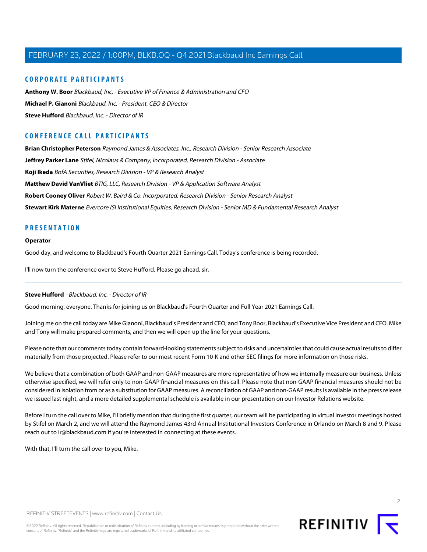# **CORPORATE PARTICIPANTS**

**[Anthony W. Boor](#page-4-0)** Blackbaud, Inc. - Executive VP of Finance & Administration and CFO **[Michael P. Gianoni](#page-2-0)** Blackbaud, Inc. - President, CEO & Director **[Steve Hufford](#page-1-0)** Blackbaud, Inc. - Director of IR

# **CONFERENCE CALL PARTICIPANTS**

**[Brian Christopher Peterson](#page-6-0)** Raymond James & Associates, Inc., Research Division - Senior Research Associate **[Jeffrey Parker Lane](#page-7-0)** Stifel, Nicolaus & Company, Incorporated, Research Division - Associate **[Koji Ikeda](#page-11-0)** BofA Securities, Research Division - VP & Research Analyst **[Matthew David VanVliet](#page-10-0)** BTIG, LLC, Research Division - VP & Application Software Analyst **[Robert Cooney Oliver](#page-9-0)** Robert W. Baird & Co. Incorporated, Research Division - Senior Research Analyst **[Stewart Kirk Materne](#page-8-0)** Evercore ISI Institutional Equities, Research Division - Senior MD & Fundamental Research Analyst

# **PRESENTATION**

## **Operator**

Good day, and welcome to Blackbaud's Fourth Quarter 2021 Earnings Call. Today's conference is being recorded.

<span id="page-1-0"></span>I'll now turn the conference over to Steve Hufford. Please go ahead, sir.

#### **Steve Hufford** - Blackbaud, Inc. - Director of IR

Good morning, everyone. Thanks for joining us on Blackbaud's Fourth Quarter and Full Year 2021 Earnings Call.

Joining me on the call today are Mike Gianoni, Blackbaud's President and CEO; and Tony Boor, Blackbaud's Executive Vice President and CFO. Mike and Tony will make prepared comments, and then we will open up the line for your questions.

Please note that our comments today contain forward-looking statements subject to risks and uncertainties that could cause actual results to differ materially from those projected. Please refer to our most recent Form 10-K and other SEC filings for more information on those risks.

We believe that a combination of both GAAP and non-GAAP measures are more representative of how we internally measure our business. Unless otherwise specified, we will refer only to non-GAAP financial measures on this call. Please note that non-GAAP financial measures should not be considered in isolation from or as a substitution for GAAP measures. A reconciliation of GAAP and non-GAAP results is available in the press release we issued last night, and a more detailed supplemental schedule is available in our presentation on our Investor Relations website.

Before I turn the call over to Mike, I'll briefly mention that during the first quarter, our team will be participating in virtual investor meetings hosted by Stifel on March 2, and we will attend the Raymond James 43rd Annual Institutional Investors Conference in Orlando on March 8 and 9. Please reach out to ir@blackbaud.com if you're interested in connecting at these events.

With that, I'll turn the call over to you, Mike.

REFINITIV T

 $\supset$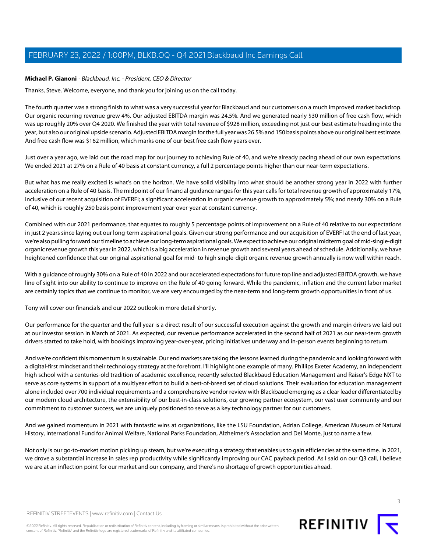# <span id="page-2-0"></span>**Michael P. Gianoni** - Blackbaud, Inc. - President, CEO & Director

Thanks, Steve. Welcome, everyone, and thank you for joining us on the call today.

The fourth quarter was a strong finish to what was a very successful year for Blackbaud and our customers on a much improved market backdrop. Our organic recurring revenue grew 4%. Our adjusted EBITDA margin was 24.5%. And we generated nearly \$30 million of free cash flow, which was up roughly 20% over Q4 2020. We finished the year with total revenue of \$928 million, exceeding not just our best estimate heading into the year, but also our original upside scenario. Adjusted EBITDA margin for the full year was 26.5% and 150 basis points above our original best estimate. And free cash flow was \$162 million, which marks one of our best free cash flow years ever.

Just over a year ago, we laid out the road map for our journey to achieving Rule of 40, and we're already pacing ahead of our own expectations. We ended 2021 at 27% on a Rule of 40 basis at constant currency, a full 2 percentage points higher than our near-term expectations.

But what has me really excited is what's on the horizon. We have solid visibility into what should be another strong year in 2022 with further acceleration on a Rule of 40 basis. The midpoint of our financial guidance ranges for this year calls for total revenue growth of approximately 17%, inclusive of our recent acquisition of EVERFI; a significant acceleration in organic revenue growth to approximately 5%; and nearly 30% on a Rule of 40, which is roughly 250 basis point improvement year-over-year at constant currency.

Combined with our 2021 performance, that equates to roughly 5 percentage points of improvement on a Rule of 40 relative to our expectations in just 2 years since laying out our long-term aspirational goals. Given our strong performance and our acquisition of EVERFI at the end of last year, we're also pulling forward our timeline to achieve our long-term aspirational goals. We expect to achieve our original midterm goal of mid-single-digit organic revenue growth this year in 2022, which is a big acceleration in revenue growth and several years ahead of schedule. Additionally, we have heightened confidence that our original aspirational goal for mid- to high single-digit organic revenue growth annually is now well within reach.

With a guidance of roughly 30% on a Rule of 40 in 2022 and our accelerated expectations for future top line and adjusted EBITDA growth, we have line of sight into our ability to continue to improve on the Rule of 40 going forward. While the pandemic, inflation and the current labor market are certainly topics that we continue to monitor, we are very encouraged by the near-term and long-term growth opportunities in front of us.

Tony will cover our financials and our 2022 outlook in more detail shortly.

Our performance for the quarter and the full year is a direct result of our successful execution against the growth and margin drivers we laid out at our investor session in March of 2021. As expected, our revenue performance accelerated in the second half of 2021 as our near-term growth drivers started to take hold, with bookings improving year-over-year, pricing initiatives underway and in-person events beginning to return.

And we're confident this momentum is sustainable. Our end markets are taking the lessons learned during the pandemic and looking forward with a digital-first mindset and their technology strategy at the forefront. I'll highlight one example of many. Phillips Exeter Academy, an independent high school with a centuries-old tradition of academic excellence, recently selected Blackbaud Education Management and Raiser's Edge NXT to serve as core systems in support of a multiyear effort to build a best-of-breed set of cloud solutions. Their evaluation for education management alone included over 700 individual requirements and a comprehensive vendor review with Blackbaud emerging as a clear leader differentiated by our modern cloud architecture, the extensibility of our best-in-class solutions, our growing partner ecosystem, our vast user community and our commitment to customer success, we are uniquely positioned to serve as a key technology partner for our customers.

And we gained momentum in 2021 with fantastic wins at organizations, like the LSU Foundation, Adrian College, American Museum of Natural History, International Fund for Animal Welfare, National Parks Foundation, Alzheimer's Association and Del Monte, just to name a few.

Not only is our go-to-market motion picking up steam, but we're executing a strategy that enables us to gain efficiencies at the same time. In 2021, we drove a substantial increase in sales rep productivity while significantly improving our CAC payback period. As I said on our Q3 call, I believe we are at an inflection point for our market and our company, and there's no shortage of growth opportunities ahead.

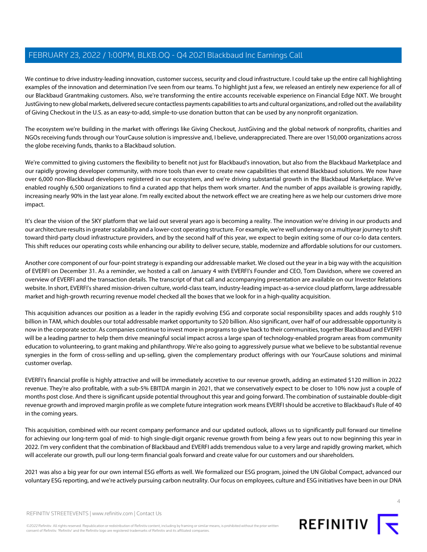We continue to drive industry-leading innovation, customer success, security and cloud infrastructure. I could take up the entire call highlighting examples of the innovation and determination I've seen from our teams. To highlight just a few, we released an entirely new experience for all of our Blackbaud Grantmaking customers. Also, we're transforming the entire accounts receivable experience on Financial Edge NXT. We brought JustGiving to new global markets, delivered secure contactless payments capabilities to arts and cultural organizations, and rolled out the availability of Giving Checkout in the U.S. as an easy-to-add, simple-to-use donation button that can be used by any nonprofit organization.

The ecosystem we're building in the market with offerings like Giving Checkout, JustGiving and the global network of nonprofits, charities and NGOs receiving funds through our YourCause solution is impressive and, I believe, underappreciated. There are over 150,000 organizations across the globe receiving funds, thanks to a Blackbaud solution.

We're committed to giving customers the flexibility to benefit not just for Blackbaud's innovation, but also from the Blackbaud Marketplace and our rapidly growing developer community, with more tools than ever to create new capabilities that extend Blackbaud solutions. We now have over 6,000 non-Blackbaud developers registered in our ecosystem, and we're driving substantial growth in the Blackbaud Marketplace. We've enabled roughly 6,500 organizations to find a curated app that helps them work smarter. And the number of apps available is growing rapidly, increasing nearly 90% in the last year alone. I'm really excited about the network effect we are creating here as we help our customers drive more impact.

It's clear the vision of the SKY platform that we laid out several years ago is becoming a reality. The innovation we're driving in our products and our architecture results in greater scalability and a lower-cost operating structure. For example, we're well underway on a multiyear journey to shift toward third-party cloud infrastructure providers, and by the second half of this year, we expect to begin exiting some of our co-lo data centers. This shift reduces our operating costs while enhancing our ability to deliver secure, stable, modernize and affordable solutions for our customers.

Another core component of our four-point strategy is expanding our addressable market. We closed out the year in a big way with the acquisition of EVERFI on December 31. As a reminder, we hosted a call on January 4 with EVERFI's Founder and CEO, Tom Davidson, where we covered an overview of EVERFI and the transaction details. The transcript of that call and accompanying presentation are available on our Investor Relations website. In short, EVERFI's shared mission-driven culture, world-class team, industry-leading impact-as-a-service cloud platform, large addressable market and high-growth recurring revenue model checked all the boxes that we look for in a high-quality acquisition.

This acquisition advances our position as a leader in the rapidly evolving ESG and corporate social responsibility spaces and adds roughly \$10 billion in TAM, which doubles our total addressable market opportunity to \$20 billion. Also significant, over half of our addressable opportunity is now in the corporate sector. As companies continue to invest more in programs to give back to their communities, together Blackbaud and EVERFI will be a leading partner to help them drive meaningful social impact across a large span of technology-enabled program areas from community education to volunteering, to grant making and philanthropy. We're also going to aggressively pursue what we believe to be substantial revenue synergies in the form of cross-selling and up-selling, given the complementary product offerings with our YourCause solutions and minimal customer overlap.

EVERFI's financial profile is highly attractive and will be immediately accretive to our revenue growth, adding an estimated \$120 million in 2022 revenue. They're also profitable, with a sub-5% EBITDA margin in 2021, that we conservatively expect to be closer to 10% now just a couple of months post close. And there is significant upside potential throughout this year and going forward. The combination of sustainable double-digit revenue growth and improved margin profile as we complete future integration work means EVERFI should be accretive to Blackbaud's Rule of 40 in the coming years.

This acquisition, combined with our recent company performance and our updated outlook, allows us to significantly pull forward our timeline for achieving our long-term goal of mid- to high single-digit organic revenue growth from being a few years out to now beginning this year in 2022. I'm very confident that the combination of Blackbaud and EVERFI adds tremendous value to a very large and rapidly growing market, which will accelerate our growth, pull our long-term financial goals forward and create value for our customers and our shareholders.

2021 was also a big year for our own internal ESG efforts as well. We formalized our ESG program, joined the UN Global Compact, advanced our voluntary ESG reporting, and we're actively pursuing carbon neutrality. Our focus on employees, culture and ESG initiatives have been in our DNA



©2022 Refinitiv. All rights reserved. Republication or redistribution of Refinitiv content, including by framing or similar means, is prohibited without the prior written consent of Refinitiv. 'Refinitiv' and the Refinitiv logo are registered trademarks of Refinitiv and its affiliated companies.

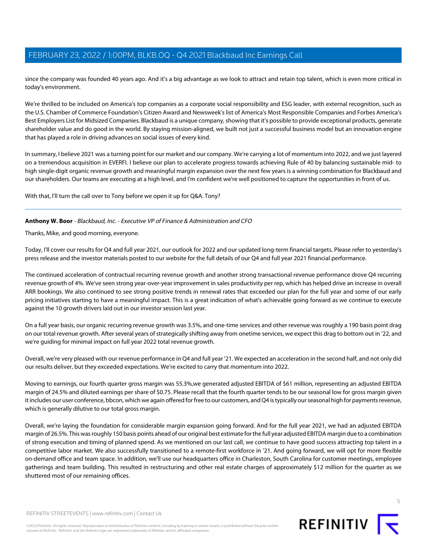since the company was founded 40 years ago. And it's a big advantage as we look to attract and retain top talent, which is even more critical in today's environment.

We're thrilled to be included on America's top companies as a corporate social responsibility and ESG leader, with external recognition, such as the U.S. Chamber of Commerce Foundation's Citizen Award and Newsweek's list of America's Most Responsible Companies and Forbes America's Best Employers List for Midsized Companies. Blackbaud is a unique company, showing that it's possible to provide exceptional products, generate shareholder value and do good in the world. By staying mission-aligned, we built not just a successful business model but an innovation engine that has played a role in driving advances on social issues of every kind.

In summary, I believe 2021 was a turning point for our market and our company. We're carrying a lot of momentum into 2022, and we just layered on a tremendous acquisition in EVERFI. I believe our plan to accelerate progress towards achieving Rule of 40 by balancing sustainable mid- to high single-digit organic revenue growth and meaningful margin expansion over the next few years is a winning combination for Blackbaud and our shareholders. Our teams are executing at a high level, and I'm confident we're well positioned to capture the opportunities in front of us.

<span id="page-4-0"></span>With that, I'll turn the call over to Tony before we open it up for Q&A. Tony?

# **Anthony W. Boor** - Blackbaud, Inc. - Executive VP of Finance & Administration and CFO

Thanks, Mike, and good morning, everyone.

Today, I'll cover our results for Q4 and full year 2021, our outlook for 2022 and our updated long-term financial targets. Please refer to yesterday's press release and the investor materials posted to our website for the full details of our Q4 and full year 2021 financial performance.

The continued acceleration of contractual recurring revenue growth and another strong transactional revenue performance drove Q4 recurring revenue growth of 4%. We've seen strong year-over-year improvement in sales productivity per rep, which has helped drive an increase in overall ARR bookings. We also continued to see strong positive trends in renewal rates that exceeded our plan for the full year and some of our early pricing initiatives starting to have a meaningful impact. This is a great indication of what's achievable going forward as we continue to execute against the 10 growth drivers laid out in our investor session last year.

On a full year basis, our organic recurring revenue growth was 3.5%, and one-time services and other revenue was roughly a 190 basis point drag on our total revenue growth. After several years of strategically shifting away from onetime services, we expect this drag to bottom out in '22, and we're guiding for minimal impact on full year 2022 total revenue growth.

Overall, we're very pleased with our revenue performance in Q4 and full year '21. We expected an acceleration in the second half, and not only did our results deliver, but they exceeded expectations. We're excited to carry that momentum into 2022.

Moving to earnings, our fourth quarter gross margin was 55.3%,we generated adjusted EBITDA of \$61 million, representing an adjusted EBITDA margin of 24.5% and diluted earnings per share of \$0.75. Please recall that the fourth quarter tends to be our seasonal low for gross margin given it includes our user conference, bbcon, which we again offered for free to our customers, and Q4 is typically our seasonal high for payments revenue, which is generally dilutive to our total gross margin.

Overall, we're laying the foundation for considerable margin expansion going forward. And for the full year 2021, we had an adjusted EBITDA margin of 26.5%. This was roughly 150 basis points ahead of our original best estimate for the full year adjusted EBITDA margin due to a combination of strong execution and timing of planned spend. As we mentioned on our last call, we continue to have good success attracting top talent in a competitive labor market. We also successfully transitioned to a remote-first workforce in '21. And going forward, we will opt for more flexible on-demand office and team space. In addition, we'll use our headquarters office in Charleston, South Carolina for customer meetings, employee gatherings and team building. This resulted in restructuring and other real estate charges of approximately \$12 million for the quarter as we shuttered most of our remaining offices.



REFINITIV **I** 

5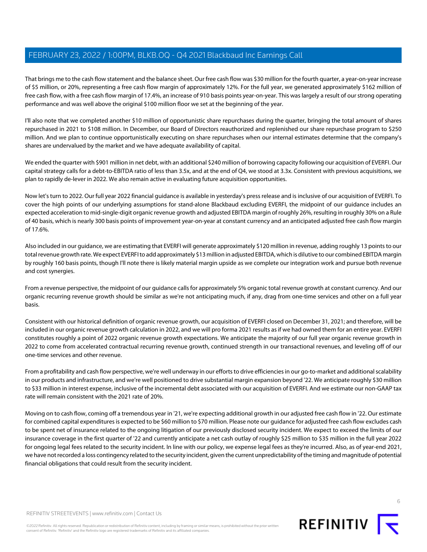That brings me to the cash flow statement and the balance sheet. Our free cash flow was \$30 million for the fourth quarter, a year-on-year increase of \$5 million, or 20%, representing a free cash flow margin of approximately 12%. For the full year, we generated approximately \$162 million of free cash flow, with a free cash flow margin of 17.4%, an increase of 910 basis points year-on-year. This was largely a result of our strong operating performance and was well above the original \$100 million floor we set at the beginning of the year.

I'll also note that we completed another \$10 million of opportunistic share repurchases during the quarter, bringing the total amount of shares repurchased in 2021 to \$108 million. In December, our Board of Directors reauthorized and replenished our share repurchase program to \$250 million. And we plan to continue opportunistically executing on share repurchases when our internal estimates determine that the company's shares are undervalued by the market and we have adequate availability of capital.

We ended the quarter with \$901 million in net debt, with an additional \$240 million of borrowing capacity following our acquisition of EVERFI. Our capital strategy calls for a debt-to-EBITDA ratio of less than 3.5x, and at the end of Q4, we stood at 3.3x. Consistent with previous acquisitions, we plan to rapidly de-lever in 2022. We also remain active in evaluating future acquisition opportunities.

Now let's turn to 2022. Our full year 2022 financial guidance is available in yesterday's press release and is inclusive of our acquisition of EVERFI. To cover the high points of our underlying assumptions for stand-alone Blackbaud excluding EVERFI, the midpoint of our guidance includes an expected acceleration to mid-single-digit organic revenue growth and adjusted EBITDA margin of roughly 26%, resulting in roughly 30% on a Rule of 40 basis, which is nearly 300 basis points of improvement year-on-year at constant currency and an anticipated adjusted free cash flow margin of 17.6%.

Also included in our guidance, we are estimating that EVERFI will generate approximately \$120 million in revenue, adding roughly 13 points to our total revenue growth rate. We expect EVERFI to add approximately \$13 million in adjusted EBITDA, which is dilutive to our combined EBITDA margin by roughly 160 basis points, though I'll note there is likely material margin upside as we complete our integration work and pursue both revenue and cost synergies.

From a revenue perspective, the midpoint of our guidance calls for approximately 5% organic total revenue growth at constant currency. And our organic recurring revenue growth should be similar as we're not anticipating much, if any, drag from one-time services and other on a full year basis.

Consistent with our historical definition of organic revenue growth, our acquisition of EVERFI closed on December 31, 2021; and therefore, will be included in our organic revenue growth calculation in 2022, and we will pro forma 2021 results as if we had owned them for an entire year. EVERFI constitutes roughly a point of 2022 organic revenue growth expectations. We anticipate the majority of our full year organic revenue growth in 2022 to come from accelerated contractual recurring revenue growth, continued strength in our transactional revenues, and leveling off of our one-time services and other revenue.

From a profitability and cash flow perspective, we're well underway in our efforts to drive efficiencies in our go-to-market and additional scalability in our products and infrastructure, and we're well positioned to drive substantial margin expansion beyond '22. We anticipate roughly \$30 million to \$33 million in interest expense, inclusive of the incremental debt associated with our acquisition of EVERFI. And we estimate our non-GAAP tax rate will remain consistent with the 2021 rate of 20%.

Moving on to cash flow, coming off a tremendous year in '21, we're expecting additional growth in our adjusted free cash flow in '22. Our estimate for combined capital expenditures is expected to be \$60 million to \$70 million. Please note our guidance for adjusted free cash flow excludes cash to be spent net of insurance related to the ongoing litigation of our previously disclosed security incident. We expect to exceed the limits of our insurance coverage in the first quarter of '22 and currently anticipate a net cash outlay of roughly \$25 million to \$35 million in the full year 2022 for ongoing legal fees related to the security incident. In line with our policy, we expense legal fees as they're incurred. Also, as of year-end 2021, we have not recorded a loss contingency related to the security incident, given the current unpredictability of the timing and magnitude of potential financial obligations that could result from the security incident.



REFINITIV **IV**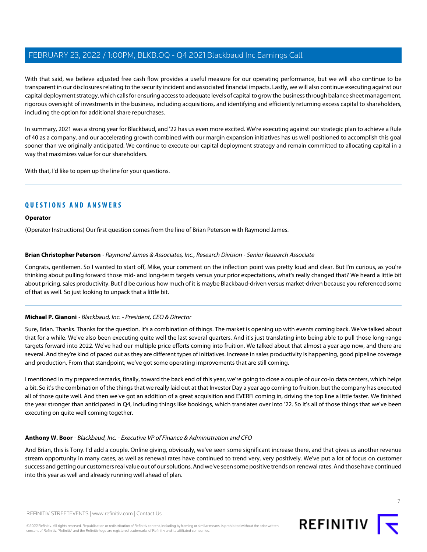With that said, we believe adjusted free cash flow provides a useful measure for our operating performance, but we will also continue to be transparent in our disclosures relating to the security incident and associated financial impacts. Lastly, we will also continue executing against our capital deployment strategy, which calls for ensuring access to adequate levels of capital to grow the business through balance sheet management, rigorous oversight of investments in the business, including acquisitions, and identifying and efficiently returning excess capital to shareholders, including the option for additional share repurchases.

In summary, 2021 was a strong year for Blackbaud, and '22 has us even more excited. We're executing against our strategic plan to achieve a Rule of 40 as a company, and our accelerating growth combined with our margin expansion initiatives has us well positioned to accomplish this goal sooner than we originally anticipated. We continue to execute our capital deployment strategy and remain committed to allocating capital in a way that maximizes value for our shareholders.

With that, I'd like to open up the line for your questions.

# **QUESTIONS AND ANSWERS**

# **Operator**

<span id="page-6-0"></span>(Operator Instructions) Our first question comes from the line of Brian Peterson with Raymond James.

# **Brian Christopher Peterson** - Raymond James & Associates, Inc., Research Division - Senior Research Associate

Congrats, gentlemen. So I wanted to start off, Mike, your comment on the inflection point was pretty loud and clear. But I'm curious, as you're thinking about pulling forward those mid- and long-term targets versus your prior expectations, what's really changed that? We heard a little bit about pricing, sales productivity. But I'd be curious how much of it is maybe Blackbaud-driven versus market-driven because you referenced some of that as well. So just looking to unpack that a little bit.

# **Michael P. Gianoni** - Blackbaud, Inc. - President, CEO & Director

Sure, Brian. Thanks. Thanks for the question. It's a combination of things. The market is opening up with events coming back. We've talked about that for a while. We've also been executing quite well the last several quarters. And it's just translating into being able to pull those long-range targets forward into 2022. We've had our multiple price efforts coming into fruition. We talked about that almost a year ago now, and there are several. And they're kind of paced out as they are different types of initiatives. Increase in sales productivity is happening, good pipeline coverage and production. From that standpoint, we've got some operating improvements that are still coming.

I mentioned in my prepared remarks, finally, toward the back end of this year, we're going to close a couple of our co-lo data centers, which helps a bit. So it's the combination of the things that we really laid out at that Investor Day a year ago coming to fruition, but the company has executed all of those quite well. And then we've got an addition of a great acquisition and EVERFI coming in, driving the top line a little faster. We finished the year stronger than anticipated in Q4, including things like bookings, which translates over into '22. So it's all of those things that we've been executing on quite well coming together.

#### **Anthony W. Boor** - Blackbaud, Inc. - Executive VP of Finance & Administration and CFO

And Brian, this is Tony. I'd add a couple. Online giving, obviously, we've seen some significant increase there, and that gives us another revenue stream opportunity in many cases, as well as renewal rates have continued to trend very, very positively. We've put a lot of focus on customer success and getting our customers real value out of our solutions. And we've seen some positive trends on renewal rates. And those have continued into this year as well and already running well ahead of plan.



7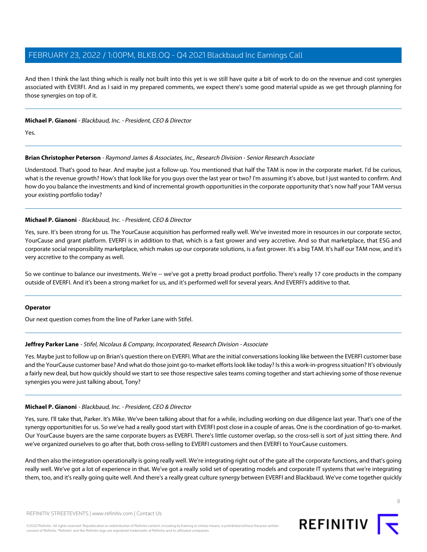And then I think the last thing which is really not built into this yet is we still have quite a bit of work to do on the revenue and cost synergies associated with EVERFI. And as I said in my prepared comments, we expect there's some good material upside as we get through planning for those synergies on top of it.

# **Michael P. Gianoni** - Blackbaud, Inc. - President, CEO & Director

Yes.

# **Brian Christopher Peterson** - Raymond James & Associates, Inc., Research Division - Senior Research Associate

Understood. That's good to hear. And maybe just a follow-up. You mentioned that half the TAM is now in the corporate market. I'd be curious, what is the revenue growth? How's that look like for you guys over the last year or two? I'm assuming it's above, but I just wanted to confirm. And how do you balance the investments and kind of incremental growth opportunities in the corporate opportunity that's now half your TAM versus your existing portfolio today?

#### **Michael P. Gianoni** - Blackbaud, Inc. - President, CEO & Director

Yes, sure. It's been strong for us. The YourCause acquisition has performed really well. We've invested more in resources in our corporate sector, YourCause and grant platform. EVERFI is in addition to that, which is a fast grower and very accretive. And so that marketplace, that ESG and corporate social responsibility marketplace, which makes up our corporate solutions, is a fast grower. It's a big TAM. It's half our TAM now, and it's very accretive to the company as well.

So we continue to balance our investments. We're -- we've got a pretty broad product portfolio. There's really 17 core products in the company outside of EVERFI. And it's been a strong market for us, and it's performed well for several years. And EVERFI's additive to that.

#### <span id="page-7-0"></span>**Operator**

Our next question comes from the line of Parker Lane with Stifel.

#### **Jeffrey Parker Lane** - Stifel, Nicolaus & Company, Incorporated, Research Division - Associate

Yes. Maybe just to follow up on Brian's question there on EVERFI. What are the initial conversations looking like between the EVERFI customer base and the YourCause customer base? And what do those joint go-to-market efforts look like today? Is this a work-in-progress situation? It's obviously a fairly new deal, but how quickly should we start to see those respective sales teams coming together and start achieving some of those revenue synergies you were just talking about, Tony?

# **Michael P. Gianoni** - Blackbaud, Inc. - President, CEO & Director

Yes, sure. I'll take that, Parker. It's Mike. We've been talking about that for a while, including working on due diligence last year. That's one of the synergy opportunities for us. So we've had a really good start with EVERFI post close in a couple of areas. One is the coordination of go-to-market. Our YourCause buyers are the same corporate buyers as EVERFI. There's little customer overlap, so the cross-sell is sort of just sitting there. And we've organized ourselves to go after that, both cross-selling to EVERFI customers and then EVERFI to YourCause customers.

And then also the integration operationally is going really well. We're integrating right out of the gate all the corporate functions, and that's going really well. We've got a lot of experience in that. We've got a really solid set of operating models and corporate IT systems that we're integrating them, too, and it's really going quite well. And there's a really great culture synergy between EVERFI and Blackbaud. We've come together quickly

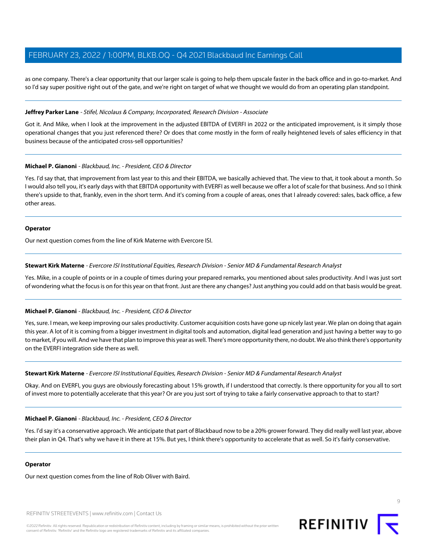as one company. There's a clear opportunity that our larger scale is going to help them upscale faster in the back office and in go-to-market. And so I'd say super positive right out of the gate, and we're right on target of what we thought we would do from an operating plan standpoint.

#### **Jeffrey Parker Lane** - Stifel, Nicolaus & Company, Incorporated, Research Division - Associate

Got it. And Mike, when I look at the improvement in the adjusted EBITDA of EVERFI in 2022 or the anticipated improvement, is it simply those operational changes that you just referenced there? Or does that come mostly in the form of really heightened levels of sales efficiency in that business because of the anticipated cross-sell opportunities?

#### **Michael P. Gianoni** - Blackbaud, Inc. - President, CEO & Director

Yes. I'd say that, that improvement from last year to this and their EBITDA, we basically achieved that. The view to that, it took about a month. So I would also tell you, it's early days with that EBITDA opportunity with EVERFI as well because we offer a lot of scale for that business. And so I think there's upside to that, frankly, even in the short term. And it's coming from a couple of areas, ones that I already covered: sales, back office, a few other areas.

#### **Operator**

<span id="page-8-0"></span>Our next question comes from the line of Kirk Materne with Evercore ISI.

#### **Stewart Kirk Materne** - Evercore ISI Institutional Equities, Research Division - Senior MD & Fundamental Research Analyst

Yes. Mike, in a couple of points or in a couple of times during your prepared remarks, you mentioned about sales productivity. And I was just sort of wondering what the focus is on for this year on that front. Just are there any changes? Just anything you could add on that basis would be great.

# **Michael P. Gianoni** - Blackbaud, Inc. - President, CEO & Director

Yes, sure. I mean, we keep improving our sales productivity. Customer acquisition costs have gone up nicely last year. We plan on doing that again this year. A lot of it is coming from a bigger investment in digital tools and automation, digital lead generation and just having a better way to go to market, if you will. And we have that plan to improve this year as well. There's more opportunity there, no doubt. We also think there's opportunity on the EVERFI integration side there as well.

#### **Stewart Kirk Materne** - Evercore ISI Institutional Equities, Research Division - Senior MD & Fundamental Research Analyst

Okay. And on EVERFI, you guys are obviously forecasting about 15% growth, if I understood that correctly. Is there opportunity for you all to sort of invest more to potentially accelerate that this year? Or are you just sort of trying to take a fairly conservative approach to that to start?

# **Michael P. Gianoni** - Blackbaud, Inc. - President, CEO & Director

Yes. I'd say it's a conservative approach. We anticipate that part of Blackbaud now to be a 20% grower forward. They did really well last year, above their plan in Q4. That's why we have it in there at 15%. But yes, I think there's opportunity to accelerate that as well. So it's fairly conservative.

#### **Operator**

Our next question comes from the line of Rob Oliver with Baird.

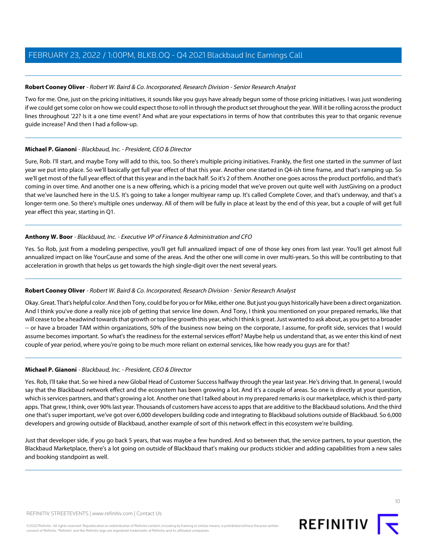# <span id="page-9-0"></span>**Robert Cooney Oliver** - Robert W. Baird & Co. Incorporated, Research Division - Senior Research Analyst

Two for me. One, just on the pricing initiatives, it sounds like you guys have already begun some of those pricing initiatives. I was just wondering if we could get some color on how we could expect those to roll in through the product set throughout the year. Will it be rolling across the product lines throughout '22? Is it a one time event? And what are your expectations in terms of how that contributes this year to that organic revenue guide increase? And then I had a follow-up.

# **Michael P. Gianoni** - Blackbaud, Inc. - President, CEO & Director

Sure, Rob. I'll start, and maybe Tony will add to this, too. So there's multiple pricing initiatives. Frankly, the first one started in the summer of last year we put into place. So we'll basically get full year effect of that this year. Another one started in Q4-ish time frame, and that's ramping up. So we'll get most of the full year effect of that this year and in the back half. So it's 2 of them. Another one goes across the product portfolio, and that's coming in over time. And another one is a new offering, which is a pricing model that we've proven out quite well with JustGiving on a product that we've launched here in the U.S. It's going to take a longer multiyear ramp up. It's called Complete Cover, and that's underway, and that's a longer-term one. So there's multiple ones underway. All of them will be fully in place at least by the end of this year, but a couple of will get full year effect this year, starting in Q1.

# **Anthony W. Boor** - Blackbaud, Inc. - Executive VP of Finance & Administration and CFO

Yes. So Rob, just from a modeling perspective, you'll get full annualized impact of one of those key ones from last year. You'll get almost full annualized impact on like YourCause and some of the areas. And the other one will come in over multi-years. So this will be contributing to that acceleration in growth that helps us get towards the high single-digit over the next several years.

# **Robert Cooney Oliver** - Robert W. Baird & Co. Incorporated, Research Division - Senior Research Analyst

Okay. Great. That's helpful color. And then Tony, could be for you or for Mike, either one. But just you guys historically have been a direct organization. And I think you've done a really nice job of getting that service line down. And Tony, I think you mentioned on your prepared remarks, like that will cease to be a headwind towards that growth or top line growth this year, which I think is great. Just wanted to ask about, as you get to a broader -- or have a broader TAM within organizations, 50% of the business now being on the corporate, I assume, for-profit side, services that I would assume becomes important. So what's the readiness for the external services effort? Maybe help us understand that, as we enter this kind of next couple of year period, where you're going to be much more reliant on external services, like how ready you guys are for that?

# **Michael P. Gianoni** - Blackbaud, Inc. - President, CEO & Director

Yes. Rob, I'll take that. So we hired a new Global Head of Customer Success halfway through the year last year. He's driving that. In general, I would say that the Blackbaud network effect and the ecosystem has been growing a lot. And it's a couple of areas. So one is directly at your question, which is services partners, and that's growing a lot. Another one that I talked about in my prepared remarks is our marketplace, which is third-party apps. That grew, I think, over 90% last year. Thousands of customers have access to apps that are additive to the Blackbaud solutions. And the third one that's super important, we've got over 6,000 developers building code and integrating to Blackbaud solutions outside of Blackbaud. So 6,000 developers and growing outside of Blackbaud, another example of sort of this network effect in this ecosystem we're building.

Just that developer side, if you go back 5 years, that was maybe a few hundred. And so between that, the service partners, to your question, the Blackbaud Marketplace, there's a lot going on outside of Blackbaud that's making our products stickier and adding capabilities from a new sales and booking standpoint as well.

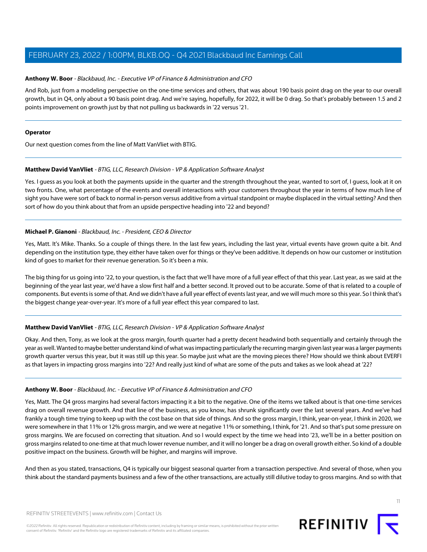# **Anthony W. Boor** - Blackbaud, Inc. - Executive VP of Finance & Administration and CFO

And Rob, just from a modeling perspective on the one-time services and others, that was about 190 basis point drag on the year to our overall growth, but in Q4, only about a 90 basis point drag. And we're saying, hopefully, for 2022, it will be 0 drag. So that's probably between 1.5 and 2 points improvement on growth just by that not pulling us backwards in '22 versus '21.

#### **Operator**

<span id="page-10-0"></span>Our next question comes from the line of Matt VanVliet with BTIG.

# **Matthew David VanVliet** - BTIG, LLC, Research Division - VP & Application Software Analyst

Yes. I guess as you look at both the payments upside in the quarter and the strength throughout the year, wanted to sort of, I guess, look at it on two fronts. One, what percentage of the events and overall interactions with your customers throughout the year in terms of how much line of sight you have were sort of back to normal in-person versus additive from a virtual standpoint or maybe displaced in the virtual setting? And then sort of how do you think about that from an upside perspective heading into '22 and beyond?

# **Michael P. Gianoni** - Blackbaud, Inc. - President, CEO & Director

Yes, Matt. It's Mike. Thanks. So a couple of things there. In the last few years, including the last year, virtual events have grown quite a bit. And depending on the institution type, they either have taken over for things or they've been additive. It depends on how our customer or institution kind of goes to market for their revenue generation. So it's been a mix.

The big thing for us going into '22, to your question, is the fact that we'll have more of a full year effect of that this year. Last year, as we said at the beginning of the year last year, we'd have a slow first half and a better second. It proved out to be accurate. Some of that is related to a couple of components. But events is some of that. And we didn't have a full year effect of events last year, and we will much more so this year. So I think that's the biggest change year-over-year. It's more of a full year effect this year compared to last.

# **Matthew David VanVliet** - BTIG, LLC, Research Division - VP & Application Software Analyst

Okay. And then, Tony, as we look at the gross margin, fourth quarter had a pretty decent headwind both sequentially and certainly through the year as well. Wanted to maybe better understand kind of what was impacting particularly the recurring margin given last year was a larger payments growth quarter versus this year, but it was still up this year. So maybe just what are the moving pieces there? How should we think about EVERFI as that layers in impacting gross margins into '22? And really just kind of what are some of the puts and takes as we look ahead at '22?

# **Anthony W. Boor** - Blackbaud, Inc. - Executive VP of Finance & Administration and CFO

Yes, Matt. The Q4 gross margins had several factors impacting it a bit to the negative. One of the items we talked about is that one-time services drag on overall revenue growth. And that line of the business, as you know, has shrunk significantly over the last several years. And we've had frankly a tough time trying to keep up with the cost base on that side of things. And so the gross margin, I think, year-on-year, I think in 2020, we were somewhere in that 11% or 12% gross margin, and we were at negative 11% or something, I think, for '21. And so that's put some pressure on gross margins. We are focused on correcting that situation. And so I would expect by the time we head into '23, we'll be in a better position on gross margins related to one-time at that much lower revenue number, and it will no longer be a drag on overall growth either. So kind of a double positive impact on the business. Growth will be higher, and margins will improve.

And then as you stated, transactions, Q4 is typically our biggest seasonal quarter from a transaction perspective. And several of those, when you think about the standard payments business and a few of the other transactions, are actually still dilutive today to gross margins. And so with that

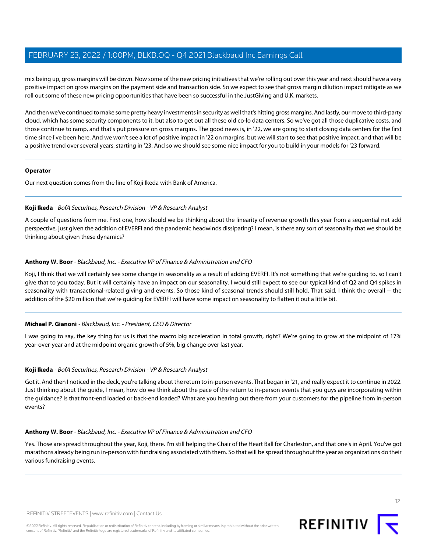mix being up, gross margins will be down. Now some of the new pricing initiatives that we're rolling out over this year and next should have a very positive impact on gross margins on the payment side and transaction side. So we expect to see that gross margin dilution impact mitigate as we roll out some of these new pricing opportunities that have been so successful in the JustGiving and U.K. markets.

And then we've continued to make some pretty heavy investments in security as well that's hitting gross margins. And lastly, our move to third-party cloud, which has some security components to it, but also to get out all these old co-lo data centers. So we've got all those duplicative costs, and those continue to ramp, and that's put pressure on gross margins. The good news is, in '22, we are going to start closing data centers for the first time since I've been here. And we won't see a lot of positive impact in '22 on margins, but we will start to see that positive impact, and that will be a positive trend over several years, starting in '23. And so we should see some nice impact for you to build in your models for '23 forward.

#### **Operator**

<span id="page-11-0"></span>Our next question comes from the line of Koji Ikeda with Bank of America.

#### **Koji Ikeda** - BofA Securities, Research Division - VP & Research Analyst

A couple of questions from me. First one, how should we be thinking about the linearity of revenue growth this year from a sequential net add perspective, just given the addition of EVERFI and the pandemic headwinds dissipating? I mean, is there any sort of seasonality that we should be thinking about given these dynamics?

# **Anthony W. Boor** - Blackbaud, Inc. - Executive VP of Finance & Administration and CFO

Koji, I think that we will certainly see some change in seasonality as a result of adding EVERFI. It's not something that we're guiding to, so I can't give that to you today. But it will certainly have an impact on our seasonality. I would still expect to see our typical kind of Q2 and Q4 spikes in seasonality with transactional-related giving and events. So those kind of seasonal trends should still hold. That said, I think the overall -- the addition of the \$20 million that we're guiding for EVERFI will have some impact on seasonality to flatten it out a little bit.

# **Michael P. Gianoni** - Blackbaud, Inc. - President, CEO & Director

I was going to say, the key thing for us is that the macro big acceleration in total growth, right? We're going to grow at the midpoint of 17% year-over-year and at the midpoint organic growth of 5%, big change over last year.

# **Koji Ikeda** - BofA Securities, Research Division - VP & Research Analyst

Got it. And then I noticed in the deck, you're talking about the return to in-person events. That began in '21, and really expect it to continue in 2022. Just thinking about the guide, I mean, how do we think about the pace of the return to in-person events that you guys are incorporating within the guidance? Is that front-end loaded or back-end loaded? What are you hearing out there from your customers for the pipeline from in-person events?

# **Anthony W. Boor** - Blackbaud, Inc. - Executive VP of Finance & Administration and CFO

Yes. Those are spread throughout the year, Koji, there. I'm still helping the Chair of the Heart Ball for Charleston, and that one's in April. You've got marathons already being run in-person with fundraising associated with them. So that will be spread throughout the year as organizations do their various fundraising events.

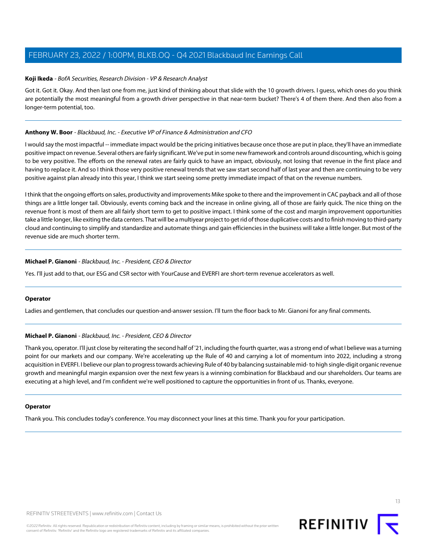## **Koji Ikeda** - BofA Securities, Research Division - VP & Research Analyst

Got it. Got it. Okay. And then last one from me, just kind of thinking about that slide with the 10 growth drivers. I guess, which ones do you think are potentially the most meaningful from a growth driver perspective in that near-term bucket? There's 4 of them there. And then also from a longer-term potential, too.

## **Anthony W. Boor** - Blackbaud, Inc. - Executive VP of Finance & Administration and CFO

I would say the most impactful -- immediate impact would be the pricing initiatives because once those are put in place, they'll have an immediate positive impact on revenue. Several others are fairly significant. We've put in some new framework and controls around discounting, which is going to be very positive. The efforts on the renewal rates are fairly quick to have an impact, obviously, not losing that revenue in the first place and having to replace it. And so I think those very positive renewal trends that we saw start second half of last year and then are continuing to be very positive against plan already into this year, I think we start seeing some pretty immediate impact of that on the revenue numbers.

I think that the ongoing efforts on sales, productivity and improvements Mike spoke to there and the improvement in CAC payback and all of those things are a little longer tail. Obviously, events coming back and the increase in online giving, all of those are fairly quick. The nice thing on the revenue front is most of them are all fairly short term to get to positive impact. I think some of the cost and margin improvement opportunities take a little longer, like exiting the data centers. That will be a multiyear project to get rid of those duplicative costs and to finish moving to third-party cloud and continuing to simplify and standardize and automate things and gain efficiencies in the business will take a little longer. But most of the revenue side are much shorter term.

# **Michael P. Gianoni** - Blackbaud, Inc. - President, CEO & Director

Yes. I'll just add to that, our ESG and CSR sector with YourCause and EVERFI are short-term revenue accelerators as well.

#### **Operator**

Ladies and gentlemen, that concludes our question-and-answer session. I'll turn the floor back to Mr. Gianoni for any final comments.

# **Michael P. Gianoni** - Blackbaud, Inc. - President, CEO & Director

Thank you, operator. I'll just close by reiterating the second half of '21, including the fourth quarter, was a strong end of what I believe was a turning point for our markets and our company. We're accelerating up the Rule of 40 and carrying a lot of momentum into 2022, including a strong acquisition in EVERFI. I believe our plan to progress towards achieving Rule of 40 by balancing sustainable mid- to high single-digit organic revenue growth and meaningful margin expansion over the next few years is a winning combination for Blackbaud and our shareholders. Our teams are executing at a high level, and I'm confident we're well positioned to capture the opportunities in front of us. Thanks, everyone.

#### **Operator**

Thank you. This concludes today's conference. You may disconnect your lines at this time. Thank you for your participation.